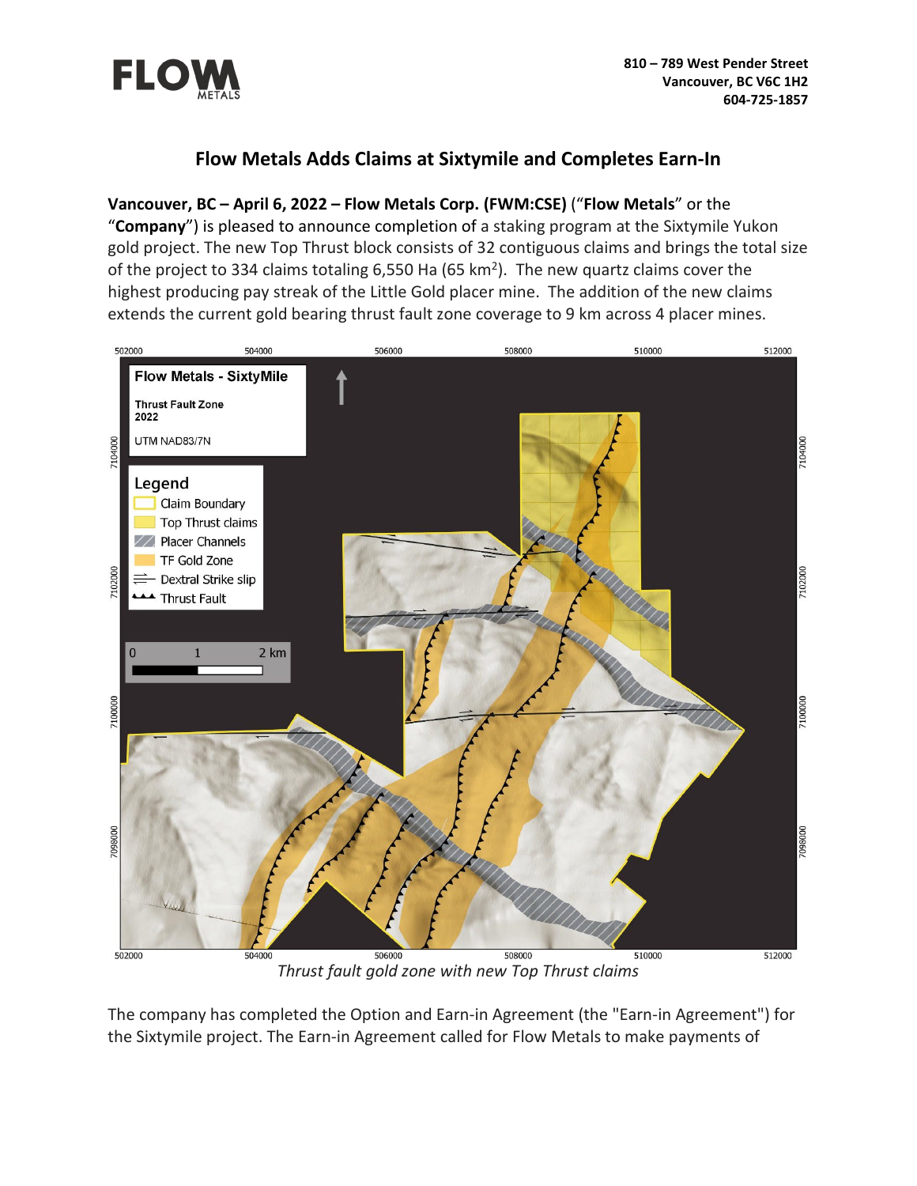

# **Flow Metals Adds Claims at Sixtymile and Completes Earn-In**

# **Vancouver, BC – April 6, 2022 – Flow Metals Corp. (FWM:CSE)** ("**Flow Metals**" or the

"**Company**") is pleased to announce completion of a staking program at the Sixtymile Yukon gold project. The new Top Thrust block consists of 32 contiguous claims and brings the total size of the project to 334 claims totaling 6,550 Ha (65 km<sup>2</sup>). The new quartz claims cover the highest producing pay streak of the Little Gold placer mine. The addition of the new claims extends the current gold bearing thrust fault zone coverage to 9 km across 4 placer mines.



*Thrust fault gold zone with new Top Thrust claims*

The company has completed the Option and Earn-in Agreement (the "Earn-in Agreement") for the Sixtymile project. The Earn-in Agreement called for Flow Metals to make payments of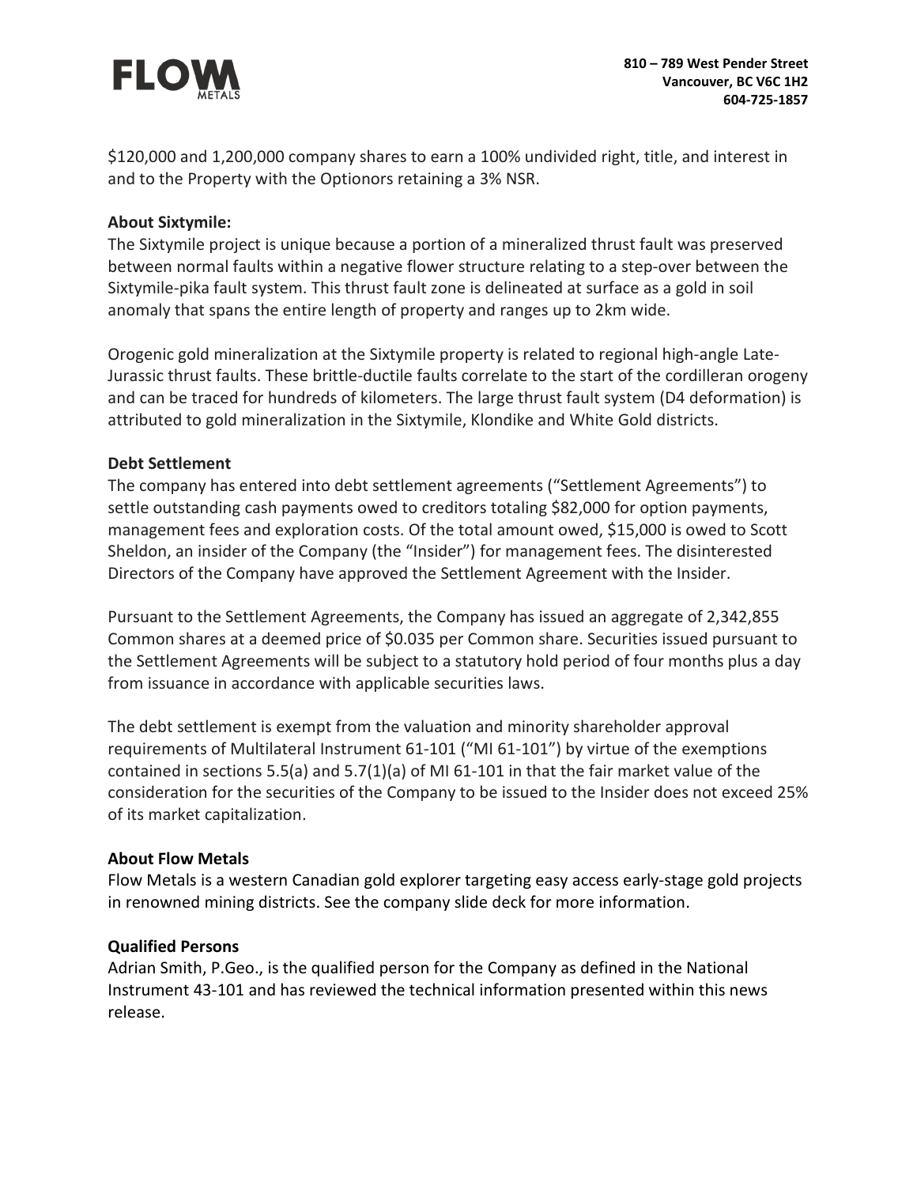

\$120,000 and 1,200,000 company shares to earn a 100% undivided right, title, and interest in and to the Property with the Optionors retaining a 3% NSR.

#### **About Sixtymile:**

The Sixtymile project is unique because a portion of a mineralized thrust fault was preserved between normal faults within a negative flower structure relating to a step-over between the Sixtymile-pika fault system. This thrust fault zone is delineated at surface as a gold in soil anomaly that spans the entire length of property and ranges up to 2km wide.

Orogenic gold mineralization at the Sixtymile property is related to regional high-angle Late-Jurassic thrust faults. These brittle-ductile faults correlate to the start of the cordilleran orogeny and can be traced for hundreds of kilometers. The large thrust fault system (D4 deformation) is attributed to gold mineralization in the Sixtymile, Klondike and White Gold districts.

#### **Debt Settlement**

The company has entered into debt settlement agreements ("Settlement Agreements") to settle outstanding cash payments owed to creditors totaling \$82,000 for option payments, management fees and exploration costs. Of the total amount owed, \$15,000 is owed to Scott Sheldon, an insider of the Company (the "Insider") for management fees. The disinterested Directors of the Company have approved the Settlement Agreement with the Insider.

Pursuant to the Settlement Agreements, the Company has issued an aggregate of 2,342,855 Common shares at a deemed price of \$0.035 per Common share. Securities issued pursuant to the Settlement Agreements will be subject to a statutory hold period of four months plus a day from issuance in accordance with applicable securities laws.

The debt settlement is exempt from the valuation and minority shareholder approval requirements of Multilateral Instrument 61-101 ("MI 61-101") by virtue of the exemptions contained in sections 5.5(a) and 5.7(1)(a) of MI 61-101 in that the fair market value of the consideration for the securities of the Company to be issued to the Insider does not exceed 25% of its market capitalization.

#### **About Flow Metals**

Flow Metals is a western Canadian gold explorer targeting easy access early-stage gold projects in renowned mining districts. See the company slide deck for more information.

#### **Qualified Persons**

Adrian Smith, P.Geo., is the qualified person for the Company as defined in the National Instrument 43-101 and has reviewed the technical information presented within this news release.